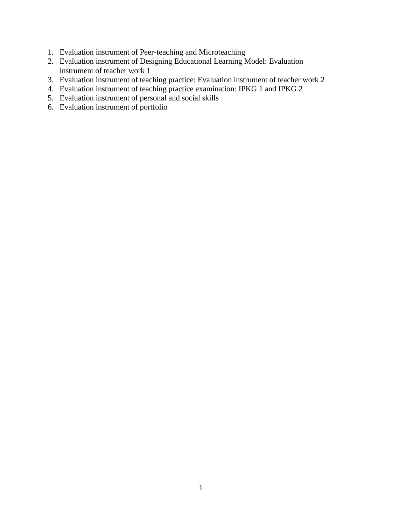- 1. Evaluation instrument of Peer-teaching and Microteaching
- 2. Evaluation instrument of Designing Educational Learning Model: Evaluation instrument of teacher work 1
- 3. Evaluation instrument of teaching practice: Evaluation instrument of teacher work 2
- 4. Evaluation instrument of teaching practice examination: IPKG 1 and IPKG 2
- 5. Evaluation instrument of personal and social skills
- 6. Evaluation instrument of portfolio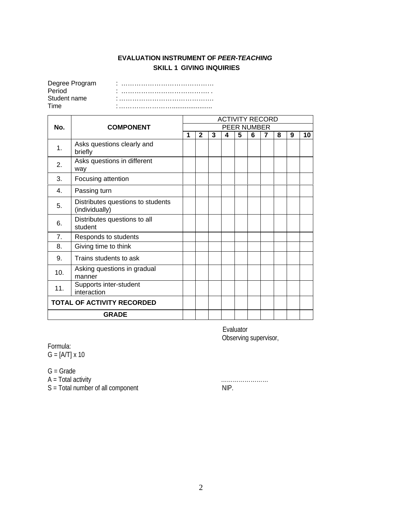## **EVALUATION INSTRUMENT OF** *PEER-TEACHING* **SKILL 1 GIVING INQUIRIES**

| Degree Program |  |
|----------------|--|
| Period         |  |
| Student name   |  |
| Time           |  |

|     |                                                     |   | <b>ACTIVITY RECORD</b> |   |   |             |   |   |   |   |    |  |
|-----|-----------------------------------------------------|---|------------------------|---|---|-------------|---|---|---|---|----|--|
| No. | <b>COMPONENT</b>                                    |   |                        |   |   | PEER NUMBER |   |   |   |   |    |  |
|     |                                                     | 1 | $\mathbf{2}$           | 3 | 4 | 5           | 6 | 7 | 8 | 9 | 10 |  |
| 1.  | Asks questions clearly and<br>briefly               |   |                        |   |   |             |   |   |   |   |    |  |
| 2.  | Asks questions in different<br>way                  |   |                        |   |   |             |   |   |   |   |    |  |
| 3.  | Focusing attention                                  |   |                        |   |   |             |   |   |   |   |    |  |
| 4.  | Passing turn                                        |   |                        |   |   |             |   |   |   |   |    |  |
| 5.  | Distributes questions to students<br>(individually) |   |                        |   |   |             |   |   |   |   |    |  |
| 6.  | Distributes questions to all<br>student             |   |                        |   |   |             |   |   |   |   |    |  |
| 7.  | Responds to students                                |   |                        |   |   |             |   |   |   |   |    |  |
| 8.  | Giving time to think                                |   |                        |   |   |             |   |   |   |   |    |  |
| 9.  | Trains students to ask                              |   |                        |   |   |             |   |   |   |   |    |  |
| 10. | Asking questions in gradual<br>manner               |   |                        |   |   |             |   |   |   |   |    |  |
| 11. | Supports inter-student<br>interaction               |   |                        |   |   |             |   |   |   |   |    |  |
|     | <b>TOTAL OF ACTIVITY RECORDED</b>                   |   |                        |   |   |             |   |   |   |   |    |  |
|     | <b>GRADE</b>                                        |   |                        |   |   |             |   |   |   |   |    |  |

Evaluator Observing supervisor,

Formula:

 $G = [A/T] \times 10$ 

G = Grade

A = Total activity ……………………

S = Total number of all component NIP.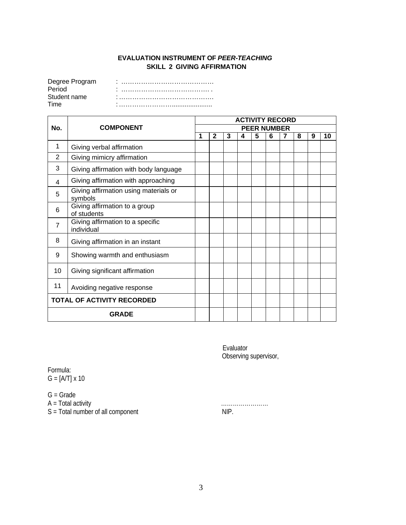### **EVALUATION INSTRUMENT OF** *PEER-TEACHING* **SKILL 2 GIVING AFFIRMATION**

| Degree Program |  |
|----------------|--|
| Period         |  |
| Student name   |  |
| Time           |  |

|                |                                                  |   | <b>ACTIVITY RECORD</b> |   |   |                    |   |   |   |   |    |  |
|----------------|--------------------------------------------------|---|------------------------|---|---|--------------------|---|---|---|---|----|--|
| No.            | <b>COMPONENT</b>                                 |   |                        |   |   | <b>PEER NUMBER</b> |   |   |   |   |    |  |
|                |                                                  | 1 | $\mathbf{2}$           | 3 | 4 | 5                  | 6 | 7 | 8 | 9 | 10 |  |
| 1              | Giving verbal affirmation                        |   |                        |   |   |                    |   |   |   |   |    |  |
| 2              | Giving mimicry affirmation                       |   |                        |   |   |                    |   |   |   |   |    |  |
| 3              | Giving affirmation with body language            |   |                        |   |   |                    |   |   |   |   |    |  |
| 4              | Giving affirmation with approaching              |   |                        |   |   |                    |   |   |   |   |    |  |
| 5              | Giving affirmation using materials or<br>symbols |   |                        |   |   |                    |   |   |   |   |    |  |
| 6              | Giving affirmation to a group<br>of students     |   |                        |   |   |                    |   |   |   |   |    |  |
| $\overline{7}$ | Giving affirmation to a specific<br>individual   |   |                        |   |   |                    |   |   |   |   |    |  |
| 8              | Giving affirmation in an instant                 |   |                        |   |   |                    |   |   |   |   |    |  |
| 9              | Showing warmth and enthusiasm                    |   |                        |   |   |                    |   |   |   |   |    |  |
| 10             | Giving significant affirmation                   |   |                        |   |   |                    |   |   |   |   |    |  |
| 11             | Avoiding negative response                       |   |                        |   |   |                    |   |   |   |   |    |  |
|                | <b>TOTAL OF ACTIVITY RECORDED</b>                |   |                        |   |   |                    |   |   |   |   |    |  |
|                | <b>GRADE</b>                                     |   |                        |   |   |                    |   |   |   |   |    |  |

Evaluator Observing supervisor,

Formula: G = [A/T] x 10

G = Grade

A = Total activity …………………… S = Total number of all component NIP.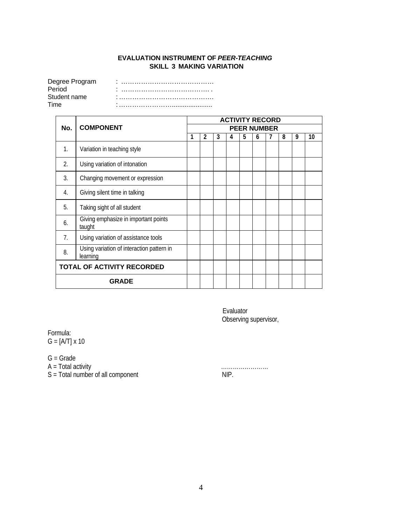## **EVALUATION INSTRUMENT OF** *PEER-TEACHING* **SKILL 3 MAKING VARIATION**

| Degree Program | $\blacksquare$ |
|----------------|----------------|
| Period         | ٠              |
| Student name   | $\blacksquare$ |
| Time           |                |

|                                   |                                                       |   | <b>ACTIVITY RECORD</b> |   |   |   |                    |   |   |   |    |  |
|-----------------------------------|-------------------------------------------------------|---|------------------------|---|---|---|--------------------|---|---|---|----|--|
| No.                               | <b>COMPONENT</b>                                      |   |                        |   |   |   | <b>PEER NUMBER</b> |   |   |   |    |  |
|                                   |                                                       | 1 | 2                      | 3 | 4 | 5 | 6                  | 7 | 8 | 9 | 10 |  |
| 1.                                | Variation in teaching style                           |   |                        |   |   |   |                    |   |   |   |    |  |
| 2.                                | Using variation of intonation                         |   |                        |   |   |   |                    |   |   |   |    |  |
| 3.                                | Changing movement or expression                       |   |                        |   |   |   |                    |   |   |   |    |  |
| 4.                                | Giving silent time in talking                         |   |                        |   |   |   |                    |   |   |   |    |  |
| 5.                                | Taking sight of all student                           |   |                        |   |   |   |                    |   |   |   |    |  |
| 6.                                | Giving emphasize in important points<br>taught        |   |                        |   |   |   |                    |   |   |   |    |  |
| 7.                                | Using variation of assistance tools                   |   |                        |   |   |   |                    |   |   |   |    |  |
| 8.                                | Using variation of interaction pattern in<br>learning |   |                        |   |   |   |                    |   |   |   |    |  |
| <b>TOTAL OF ACTIVITY RECORDED</b> |                                                       |   |                        |   |   |   |                    |   |   |   |    |  |
|                                   | <b>GRADE</b>                                          |   |                        |   |   |   |                    |   |   |   |    |  |

Evaluator Observing supervisor,

Formula:  $G = [A/T] \times 10$ 

G = Grade

A = Total activity ……………………

S = Total number of all component NIP.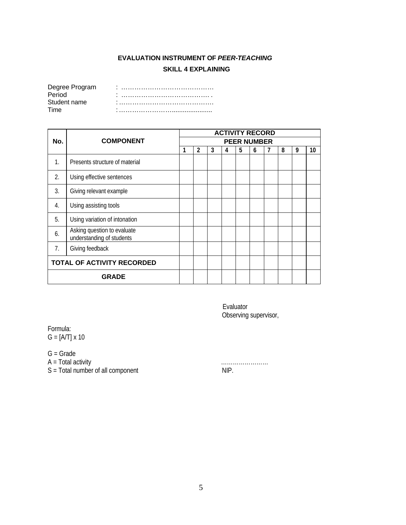## **EVALUATION INSTRUMENT OF** *PEER-TEACHING* **SKILL 4 EXPLAINING**

| Degree Program |  |
|----------------|--|
| Period         |  |
| Student name   |  |
| Time           |  |

|                                   |                                                          | <b>ACTIVITY RECORD</b> |   |   |   |   |   |  |   |   |    |  |
|-----------------------------------|----------------------------------------------------------|------------------------|---|---|---|---|---|--|---|---|----|--|
| No.                               | <b>COMPONENT</b>                                         | <b>PEER NUMBER</b>     |   |   |   |   |   |  |   |   |    |  |
|                                   |                                                          | 1                      | 2 | 3 | 4 | 5 | 6 |  | 8 | 9 | 10 |  |
| $\mathbf{1}$ .                    | Presents structure of material                           |                        |   |   |   |   |   |  |   |   |    |  |
| 2.                                | Using effective sentences                                |                        |   |   |   |   |   |  |   |   |    |  |
| 3.                                | Giving relevant example                                  |                        |   |   |   |   |   |  |   |   |    |  |
| $\overline{4}$ .                  | Using assisting tools                                    |                        |   |   |   |   |   |  |   |   |    |  |
| 5.                                | Using variation of intonation                            |                        |   |   |   |   |   |  |   |   |    |  |
| 6.                                | Asking question to evaluate<br>understanding of students |                        |   |   |   |   |   |  |   |   |    |  |
| 7.                                | Giving feedback                                          |                        |   |   |   |   |   |  |   |   |    |  |
| <b>TOTAL OF ACTIVITY RECORDED</b> |                                                          |                        |   |   |   |   |   |  |   |   |    |  |
|                                   | <b>GRADE</b>                                             |                        |   |   |   |   |   |  |   |   |    |  |

Evaluator Observing supervisor,

Formula: G = [A/T] x 10

G = Grade

A = Total activity ……………………

S = Total number of all component NIP.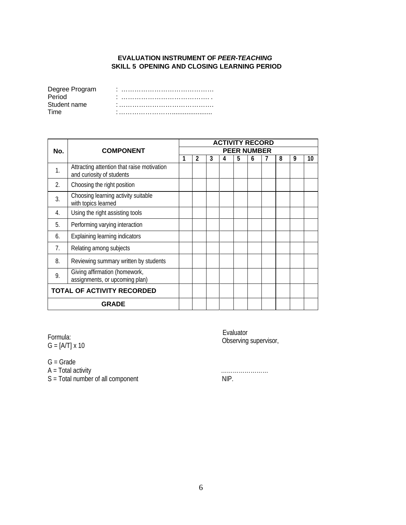### **EVALUATION INSTRUMENT OF** *PEER-TEACHING* **SKILL 5 OPENING AND CLOSING LEARNING PERIOD**

| Degree Program |   |
|----------------|---|
| Period         |   |
| Student name   |   |
| Time           | ٠ |

|     |                                                                         | <b>ACTIVITY RECORD</b> |   |   |   |   |   |  |   |   |    |  |
|-----|-------------------------------------------------------------------------|------------------------|---|---|---|---|---|--|---|---|----|--|
| No. | <b>COMPONENT</b>                                                        | <b>PEER NUMBER</b>     |   |   |   |   |   |  |   |   |    |  |
|     |                                                                         |                        | 2 | 3 | 4 | 5 | 6 |  | 8 | 9 | 10 |  |
| 1.  | Attracting attention that raise motivation<br>and curiosity of students |                        |   |   |   |   |   |  |   |   |    |  |
| 2.  | Choosing the right position                                             |                        |   |   |   |   |   |  |   |   |    |  |
| 3.  | Choosing learning activity suitable<br>with topics learned              |                        |   |   |   |   |   |  |   |   |    |  |
| 4.  | Using the right assisting tools                                         |                        |   |   |   |   |   |  |   |   |    |  |
| 5.  | Performing varying interaction                                          |                        |   |   |   |   |   |  |   |   |    |  |
| 6.  | Explaining learning indicators                                          |                        |   |   |   |   |   |  |   |   |    |  |
| 7.  | Relating among subjects                                                 |                        |   |   |   |   |   |  |   |   |    |  |
| 8.  | Reviewing summary written by students                                   |                        |   |   |   |   |   |  |   |   |    |  |
| 9.  | Giving affirmation (homework,<br>assignments, or upcoming plan)         |                        |   |   |   |   |   |  |   |   |    |  |
|     | <b>TOTAL OF ACTIVITY RECORDED</b>                                       |                        |   |   |   |   |   |  |   |   |    |  |
|     | <b>GRADE</b>                                                            |                        |   |   |   |   |   |  |   |   |    |  |

Formula: G = [A/T] x 10

G = Grade

A = Total activity ……………………

S = Total number of all component NIP.

Evaluator Observing supervisor,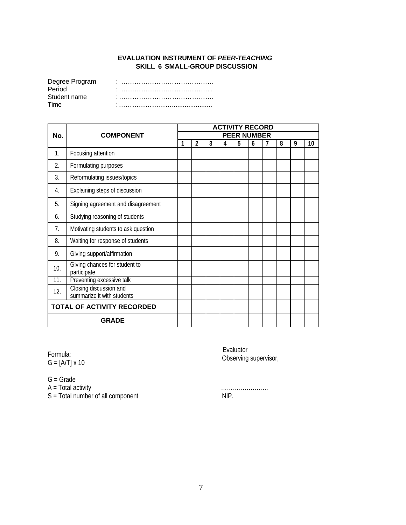#### **EVALUATION INSTRUMENT OF** *PEER-TEACHING* **SKILL 6 SMALL-GROUP DISCUSSION**

| Degree Program | $\blacksquare$ |
|----------------|----------------|
| Period         | ٠              |
| Student name   |                |
| Time           |                |

|                            |                                                      | <b>ACTIVITY RECORD</b> |   |   |   |   |                    |   |   |   |    |
|----------------------------|------------------------------------------------------|------------------------|---|---|---|---|--------------------|---|---|---|----|
| No.                        | <b>COMPONENT</b>                                     |                        |   |   |   |   | <b>PEER NUMBER</b> |   |   |   |    |
|                            |                                                      | 1                      | 2 | 3 | 4 | 5 | 6                  | 7 | 8 | 9 | 10 |
| $\mathbf{1}$ .             | Focusing attention                                   |                        |   |   |   |   |                    |   |   |   |    |
| 2.                         | Formulating purposes                                 |                        |   |   |   |   |                    |   |   |   |    |
| 3.                         | Reformulating issues/topics                          |                        |   |   |   |   |                    |   |   |   |    |
| 4.                         | Explaining steps of discussion                       |                        |   |   |   |   |                    |   |   |   |    |
| 5.                         | Signing agreement and disagreement                   |                        |   |   |   |   |                    |   |   |   |    |
| 6.                         | Studying reasoning of students                       |                        |   |   |   |   |                    |   |   |   |    |
| 7.                         | Motivating students to ask question                  |                        |   |   |   |   |                    |   |   |   |    |
| 8.                         | Waiting for response of students                     |                        |   |   |   |   |                    |   |   |   |    |
| 9.                         | Giving support/affirmation                           |                        |   |   |   |   |                    |   |   |   |    |
| 10.                        | Giving chances for student to<br>participate         |                        |   |   |   |   |                    |   |   |   |    |
| 11.                        | Preventing excessive talk                            |                        |   |   |   |   |                    |   |   |   |    |
| 12.                        | Closing discussion and<br>summarize it with students |                        |   |   |   |   |                    |   |   |   |    |
| TOTAL OF ACTIVITY RECORDED |                                                      |                        |   |   |   |   |                    |   |   |   |    |
|                            | <b>GRADE</b>                                         |                        |   |   |   |   |                    |   |   |   |    |

Formula: G = [A/T] x 10

G = Grade

A = Total activity ……………………

S = Total number of all component NIP.

Evaluator Observing supervisor,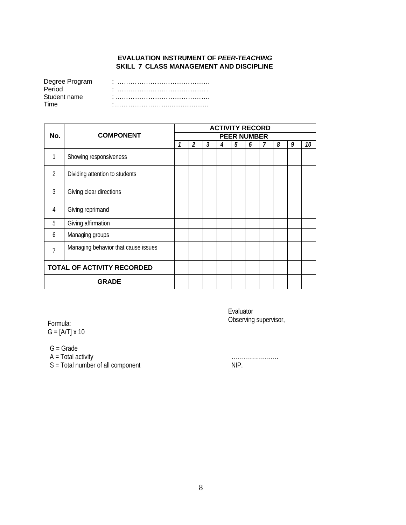## **EVALUATION INSTRUMENT OF** *PEER-TEACHING* **SKILL 7 CLASS MANAGEMENT AND DISCIPLINE**

| Degree Program |  |
|----------------|--|
| Period         |  |
| Student name   |  |
| Time           |  |

|                |                                     |                         |  | <b>ACTIVITY RECORD</b> |   |   |   |  |   |   |    |  |  |  |
|----------------|-------------------------------------|-------------------------|--|------------------------|---|---|---|--|---|---|----|--|--|--|
| No.            | <b>COMPONENT</b>                    | <b>PEER NUMBER</b><br>3 |  |                        |   |   |   |  |   |   |    |  |  |  |
|                |                                     |                         |  |                        | 4 | 5 | 6 |  | 8 | 9 | 10 |  |  |  |
| 1              | Showing responsiveness              |                         |  |                        |   |   |   |  |   |   |    |  |  |  |
| $\mathcal{P}$  | Dividing attention to students      |                         |  |                        |   |   |   |  |   |   |    |  |  |  |
| $\overline{3}$ | Giving clear directions             |                         |  |                        |   |   |   |  |   |   |    |  |  |  |
| 4              | Giving reprimand                    |                         |  |                        |   |   |   |  |   |   |    |  |  |  |
| 5              | Giving affirmation                  |                         |  |                        |   |   |   |  |   |   |    |  |  |  |
| 6              | Managing groups                     |                         |  |                        |   |   |   |  |   |   |    |  |  |  |
| 7              | Managing behavior that cause issues |                         |  |                        |   |   |   |  |   |   |    |  |  |  |
|                | <b>TOTAL OF ACTIVITY RECORDED</b>   |                         |  |                        |   |   |   |  |   |   |    |  |  |  |
| <b>GRADE</b>   |                                     |                         |  |                        |   |   |   |  |   |   |    |  |  |  |

Formula: G = [A/T] x 10

G = Grade

A = Total activity ……………………

S = Total number of all component NIP.

Evaluator Observing supervisor,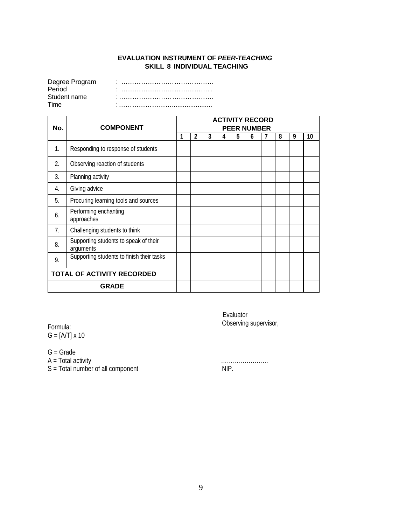#### **EVALUATION INSTRUMENT OF** *PEER-TEACHING* **SKILL 8 INDIVIDUAL TEACHING**

| Degree Program |                |
|----------------|----------------|
| Period         | $\blacksquare$ |
| Student name   |                |
| Time           |                |

|                |                                                    |                    | <b>ACTIVITY RECORD</b> |   |   |   |   |   |   |   |    |  |  |
|----------------|----------------------------------------------------|--------------------|------------------------|---|---|---|---|---|---|---|----|--|--|
| No.            | <b>COMPONENT</b>                                   | <b>PEER NUMBER</b> |                        |   |   |   |   |   |   |   |    |  |  |
|                |                                                    |                    | 2                      | 3 | 4 | 5 | 6 | 7 | 8 | 9 | 10 |  |  |
| $\mathbf{1}$ . | Responding to response of students                 |                    |                        |   |   |   |   |   |   |   |    |  |  |
| 2.             | Observing reaction of students                     |                    |                        |   |   |   |   |   |   |   |    |  |  |
| 3.             | Planning activity                                  |                    |                        |   |   |   |   |   |   |   |    |  |  |
| 4.             | Giving advice                                      |                    |                        |   |   |   |   |   |   |   |    |  |  |
| 5.             | Procuring learning tools and sources               |                    |                        |   |   |   |   |   |   |   |    |  |  |
| 6.             | Performing enchanting<br>approaches                |                    |                        |   |   |   |   |   |   |   |    |  |  |
| 7.             | Challenging students to think                      |                    |                        |   |   |   |   |   |   |   |    |  |  |
| 8.             | Supporting students to speak of their<br>arguments |                    |                        |   |   |   |   |   |   |   |    |  |  |
| 9.             | Supporting students to finish their tasks          |                    |                        |   |   |   |   |   |   |   |    |  |  |
|                | <b>TOTAL OF ACTIVITY RECORDED</b>                  |                    |                        |   |   |   |   |   |   |   |    |  |  |
|                | <b>GRADE</b>                                       |                    |                        |   |   |   |   |   |   |   |    |  |  |

Formula: G = [A/T] x 10

G = Grade

 $S = Total number of all component$ 

Evaluator Observing supervisor,

A = Total activity<br>S = Total number of all component<br>NIP.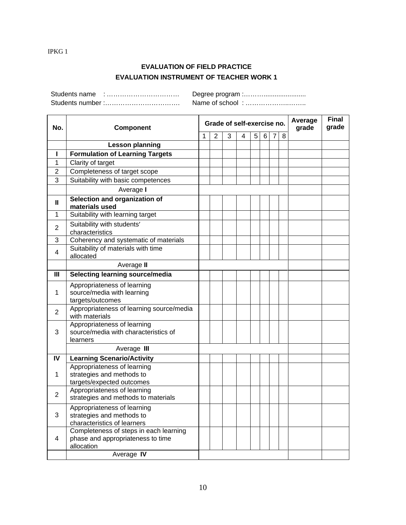## **EVALUATION OF FIELD PRACTICE EVALUATION INSTRUMENT OF TEACHER WORK 1**

Students name : …………………………… Degree program :………....................... Students number :……………………………. Name of school : ………………..……..

| No.            | Component                                                           |   |                |   | Grade of self-exercise no. | Average<br>grade | <b>Final</b><br>grade |   |   |  |  |
|----------------|---------------------------------------------------------------------|---|----------------|---|----------------------------|------------------|-----------------------|---|---|--|--|
|                |                                                                     | 1 | $\overline{2}$ | 3 | 4                          | 5                | 6                     | 7 | 8 |  |  |
|                | <b>Lesson planning</b>                                              |   |                |   |                            |                  |                       |   |   |  |  |
| L              | <b>Formulation of Learning Targets</b>                              |   |                |   |                            |                  |                       |   |   |  |  |
| 1              | Clarity of target                                                   |   |                |   |                            |                  |                       |   |   |  |  |
| 2              | Completeness of target scope                                        |   |                |   |                            |                  |                       |   |   |  |  |
| 3              | Suitability with basic competences                                  |   |                |   |                            |                  |                       |   |   |  |  |
|                | Average I                                                           |   |                |   |                            |                  |                       |   |   |  |  |
| $\mathbf{I}$   | Selection and organization of<br>materials used                     |   |                |   |                            |                  |                       |   |   |  |  |
| 1              | Suitability with learning target                                    |   |                |   |                            |                  |                       |   |   |  |  |
| $\overline{2}$ | Suitability with students'<br>characteristics                       |   |                |   |                            |                  |                       |   |   |  |  |
| 3              | Coherency and systematic of materials                               |   |                |   |                            |                  |                       |   |   |  |  |
| 4              | Suitability of materials with time<br>allocated                     |   |                |   |                            |                  |                       |   |   |  |  |
|                | Average II                                                          |   |                |   |                            |                  |                       |   |   |  |  |
| Ш              | Selecting learning source/media                                     |   |                |   |                            |                  |                       |   |   |  |  |
|                | Appropriateness of learning                                         |   |                |   |                            |                  |                       |   |   |  |  |
| $\mathbf 1$    | source/media with learning                                          |   |                |   |                            |                  |                       |   |   |  |  |
|                | targets/outcomes                                                    |   |                |   |                            |                  |                       |   |   |  |  |
| $\overline{2}$ | Appropriateness of learning source/media<br>with materials          |   |                |   |                            |                  |                       |   |   |  |  |
| 3              | Appropriateness of learning<br>source/media with characteristics of |   |                |   |                            |                  |                       |   |   |  |  |
|                | learners                                                            |   |                |   |                            |                  |                       |   |   |  |  |
|                | Average III                                                         |   |                |   |                            |                  |                       |   |   |  |  |
| IV             | <b>Learning Scenario/Activity</b>                                   |   |                |   |                            |                  |                       |   |   |  |  |
| 1              | Appropriateness of learning                                         |   |                |   |                            |                  |                       |   |   |  |  |
|                | strategies and methods to<br>targets/expected outcomes              |   |                |   |                            |                  |                       |   |   |  |  |
|                | Appropriateness of learning                                         |   |                |   |                            |                  |                       |   |   |  |  |
| $\overline{2}$ | strategies and methods to materials                                 |   |                |   |                            |                  |                       |   |   |  |  |
|                | Appropriateness of learning                                         |   |                |   |                            |                  |                       |   |   |  |  |
| 3              | strategies and methods to<br>characteristics of learners            |   |                |   |                            |                  |                       |   |   |  |  |
|                | Completeness of steps in each learning                              |   |                |   |                            |                  |                       |   |   |  |  |
| 4              | phase and appropriateness to time                                   |   |                |   |                            |                  |                       |   |   |  |  |
|                | allocation                                                          |   |                |   |                            |                  |                       |   |   |  |  |
|                | Average IV                                                          |   |                |   |                            |                  |                       |   |   |  |  |

IPKG 1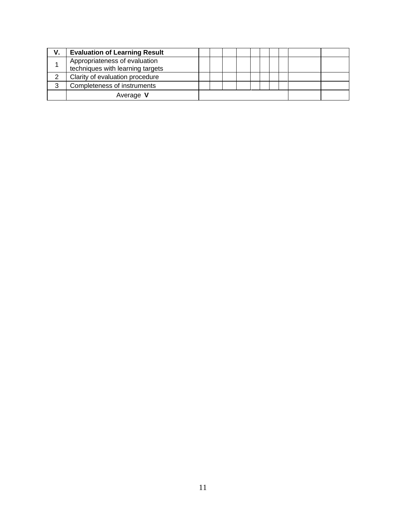| v. | <b>Evaluation of Learning Result</b>                              |  |  |  |  |  |
|----|-------------------------------------------------------------------|--|--|--|--|--|
|    | Appropriateness of evaluation<br>techniques with learning targets |  |  |  |  |  |
|    | Clarity of evaluation procedure                                   |  |  |  |  |  |
| 3  | Completeness of instruments                                       |  |  |  |  |  |
|    | Average V                                                         |  |  |  |  |  |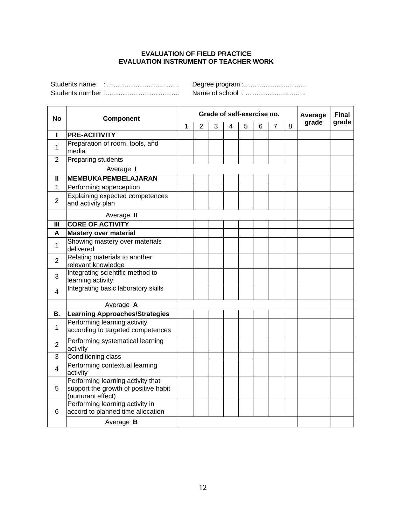#### **EVALUATION OF FIELD PRACTICE EVALUATION INSTRUMENT OF TEACHER WORK**

Students name : …………………………… Degree program :………....................... Students number :……………………………. Name of school : ………………..……..

| <b>Natile OF SCHOOL</b> | . |
|-------------------------|---|
|                         |   |

 $\overline{\phantom{a}}$ 

| <b>No</b>      | <b>Component</b>                                                                                |   |   |   | Grade of self-exercise no. |   |   |   |   | Average | Final<br>grade |
|----------------|-------------------------------------------------------------------------------------------------|---|---|---|----------------------------|---|---|---|---|---------|----------------|
|                |                                                                                                 | 1 | 2 | 3 | 4                          | 5 | 6 | 7 | 8 | grade   |                |
| I              | <b>PRE-ACITIVITY</b>                                                                            |   |   |   |                            |   |   |   |   |         |                |
| $\mathbf{1}$   | Preparation of room, tools, and<br>media                                                        |   |   |   |                            |   |   |   |   |         |                |
| 2              | Preparing students                                                                              |   |   |   |                            |   |   |   |   |         |                |
|                | Average I                                                                                       |   |   |   |                            |   |   |   |   |         |                |
| $\mathbf{I}$   | <b>MEMBUKA PEMBELAJARAN</b>                                                                     |   |   |   |                            |   |   |   |   |         |                |
| 1              | Performing apperception                                                                         |   |   |   |                            |   |   |   |   |         |                |
| $\overline{2}$ | Explaining expected competences<br>and activity plan                                            |   |   |   |                            |   |   |   |   |         |                |
|                | Average II                                                                                      |   |   |   |                            |   |   |   |   |         |                |
| $\mathbf{III}$ | <b>CORE OF ACTIVITY</b>                                                                         |   |   |   |                            |   |   |   |   |         |                |
| A              | <b>Mastery over material</b>                                                                    |   |   |   |                            |   |   |   |   |         |                |
| 1              | Showing mastery over materials<br>delivered                                                     |   |   |   |                            |   |   |   |   |         |                |
| $\overline{2}$ | Relating materials to another<br>relevant knowledge                                             |   |   |   |                            |   |   |   |   |         |                |
| 3              | Integrating scientific method to<br>learning activity                                           |   |   |   |                            |   |   |   |   |         |                |
| 4              | Integrating basic laboratory skills                                                             |   |   |   |                            |   |   |   |   |         |                |
|                | Average A                                                                                       |   |   |   |                            |   |   |   |   |         |                |
| В.             | <b>Learning Approaches/Strategies</b>                                                           |   |   |   |                            |   |   |   |   |         |                |
| 1              | Performing learning activity<br>according to targeted competences                               |   |   |   |                            |   |   |   |   |         |                |
| $\overline{2}$ | Performing systematical learning<br>activity                                                    |   |   |   |                            |   |   |   |   |         |                |
| 3              | Conditioning class                                                                              |   |   |   |                            |   |   |   |   |         |                |
| $\overline{4}$ | Performing contextual learning<br>activity                                                      |   |   |   |                            |   |   |   |   |         |                |
| 5              | Performing learning activity that<br>support the growth of positive habit<br>(nurturant effect) |   |   |   |                            |   |   |   |   |         |                |
| 6              | Performing learning activity in<br>accord to planned time allocation                            |   |   |   |                            |   |   |   |   |         |                |
|                | Average B                                                                                       |   |   |   |                            |   |   |   |   |         |                |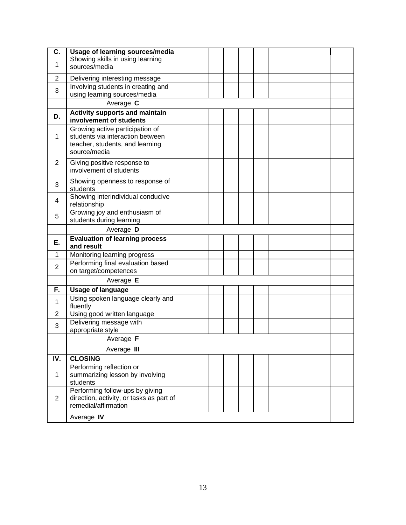| C.             | Usage of learning sources/media                                                                                        |  |  |  |  |  |  |  |
|----------------|------------------------------------------------------------------------------------------------------------------------|--|--|--|--|--|--|--|
| 1              | Showing skills in using learning<br>sources/media                                                                      |  |  |  |  |  |  |  |
|                |                                                                                                                        |  |  |  |  |  |  |  |
| 2              | Delivering interesting message                                                                                         |  |  |  |  |  |  |  |
| 3              | Involving students in creating and<br>using learning sources/media                                                     |  |  |  |  |  |  |  |
|                | Average C                                                                                                              |  |  |  |  |  |  |  |
| D.             | <b>Activity supports and maintain</b><br>involvement of students                                                       |  |  |  |  |  |  |  |
| 1              | Growing active participation of<br>students via interaction between<br>teacher, students, and learning<br>source/media |  |  |  |  |  |  |  |
| $\overline{2}$ | Giving positive response to<br>involvement of students                                                                 |  |  |  |  |  |  |  |
| 3              | Showing openness to response of<br>students                                                                            |  |  |  |  |  |  |  |
| 4              | Showing interindividual conducive<br>relationship                                                                      |  |  |  |  |  |  |  |
| 5              | Growing joy and enthusiasm of<br>students during learning                                                              |  |  |  |  |  |  |  |
|                | Average D                                                                                                              |  |  |  |  |  |  |  |
| Ε.             | <b>Evaluation of learning process</b><br>and result                                                                    |  |  |  |  |  |  |  |
| 1              | Monitoring learning progress                                                                                           |  |  |  |  |  |  |  |
| $\overline{2}$ | Performing final evaluation based<br>on target/competences                                                             |  |  |  |  |  |  |  |
|                | Average E                                                                                                              |  |  |  |  |  |  |  |
| F.             | <b>Usage of language</b>                                                                                               |  |  |  |  |  |  |  |
| 1              | Using spoken language clearly and<br>fluently                                                                          |  |  |  |  |  |  |  |
| 2              | Using good written language                                                                                            |  |  |  |  |  |  |  |
| 3              | Delivering message with<br>appropriate style                                                                           |  |  |  |  |  |  |  |
|                | Average F                                                                                                              |  |  |  |  |  |  |  |
|                | Average III                                                                                                            |  |  |  |  |  |  |  |
| IV.            | <b>CLOSING</b>                                                                                                         |  |  |  |  |  |  |  |
| $\mathbf 1$    | Performing reflection or<br>summarizing lesson by involving<br>students                                                |  |  |  |  |  |  |  |
| $\overline{2}$ | Performing follow-ups by giving<br>direction, activity, or tasks as part of<br>remedial/affirmation                    |  |  |  |  |  |  |  |
|                | Average IV                                                                                                             |  |  |  |  |  |  |  |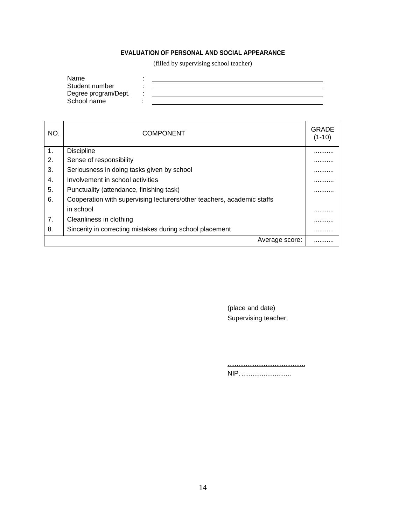# **EVALUATION OF PERSONAL AND SOCIAL APPEARANCE**

(filled by supervising school teacher)

| Name                 |  |
|----------------------|--|
| Student number       |  |
| Degree program/Dept. |  |
| School name          |  |

| NO.            | <b>COMPONENT</b>                                                       | GRADE<br>$(1-10)$ |
|----------------|------------------------------------------------------------------------|-------------------|
| $\mathbf{1}$ . | <b>Discipline</b>                                                      |                   |
| 2.             | Sense of responsibility                                                | .                 |
| 3.             | Seriousness in doing tasks given by school                             | .                 |
| 4.             | Involvement in school activities                                       | .                 |
| 5.             | Punctuality (attendance, finishing task)                               | .                 |
| 6.             | Cooperation with supervising lecturers/other teachers, academic staffs |                   |
|                | in school                                                              |                   |
| 7.             | Cleanliness in clothing                                                | .                 |
| 8.             | Sincerity in correcting mistakes during school placement               |                   |
|                | Average score:                                                         |                   |

(place and date) Supervising teacher,

........................................... NIP. ...........................